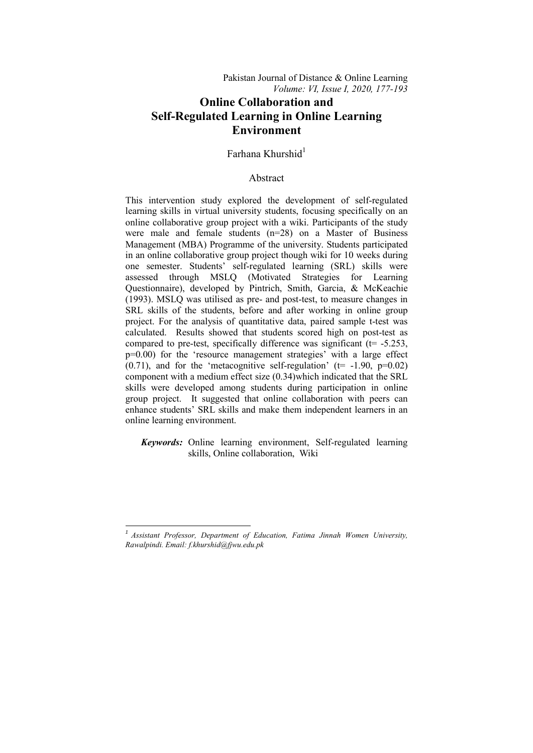# **Online Collaboration and Self-Regulated Learning in Online Learning Environment**

# $Farhana Khurshid<sup>1</sup>$

# Abstract

This intervention study explored the development of self-regulated learning skills in virtual university students, focusing specifically on an online collaborative group project with a wiki. Participants of the study were male and female students (n=28) on a Master of Business Management (MBA) Programme of the university. Students participated in an online collaborative group project though wiki for 10 weeks during one semester. Students' self-regulated learning (SRL) skills were assessed through MSLQ (Motivated Strategies for Learning Questionnaire), developed by Pintrich, Smith, Garcia, & McKeachie (1993). MSLQ was utilised as pre- and post-test, to measure changes in SRL skills of the students, before and after working in online group project. For the analysis of quantitative data, paired sample t-test was calculated. Results showed that students scored high on post-test as compared to pre-test, specifically difference was significant ( $t = -5.253$ , p=0.00) for the 'resource management strategies' with a large effect  $(0.71)$ , and for the 'metacognitive self-regulation' ( $t=$  -1.90,  $p=0.02$ ) component with a medium effect size (0.34)which indicated that the SRL skills were developed among students during participation in online group project. It suggested that online collaboration with peers can enhance students' SRL skills and make them independent learners in an online learning environment.

 *Keywords:* Online learning environment, Self-regulated learning skills, Online collaboration, Wiki

1

*<sup>1</sup> Assistant Professor, Department of Education, Fatima Jinnah Women University, Rawalpindi. Email: f.khurshid@fjwu.edu.pk*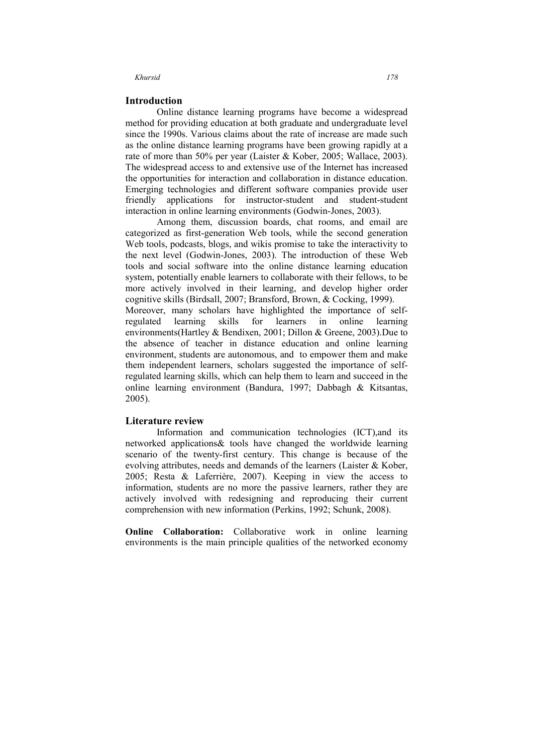# **Introduction**

Online distance learning programs have become a widespread method for providing education at both graduate and undergraduate level since the 1990s. Various claims about the rate of increase are made such as the online distance learning programs have been growing rapidly at a rate of more than 50% per year (Laister & Kober, 2005; Wallace, 2003). The widespread access to and extensive use of the Internet has increased the opportunities for interaction and collaboration in distance education. Emerging technologies and different software companies provide user friendly applications for instructor-student and student-student interaction in online learning environments (Godwin-Jones, 2003).

Among them, discussion boards, chat rooms, and email are categorized as first-generation Web tools, while the second generation Web tools, podcasts, blogs, and wikis promise to take the interactivity to the next level (Godwin-Jones, 2003). The introduction of these Web tools and social software into the online distance learning education system, potentially enable learners to collaborate with their fellows, to be more actively involved in their learning, and develop higher order cognitive skills (Birdsall, 2007; Bransford, Brown, & Cocking, 1999). Moreover, many scholars have highlighted the importance of selfregulated learning skills for learners in online learning environments(Hartley & Bendixen, 2001; Dillon & Greene, 2003).Due to the absence of teacher in distance education and online learning environment, students are autonomous, and to empower them and make them independent learners, scholars suggested the importance of selfregulated learning skills, which can help them to learn and succeed in the online learning environment (Bandura, 1997; Dabbagh & Kitsantas, 2005).

# **Literature review**

Information and communication technologies (ICT),and its networked applications& tools have changed the worldwide learning scenario of the twenty-first century. This change is because of the evolving attributes, needs and demands of the learners (Laister & Kober, 2005; Resta & Laferrière, 2007). Keeping in view the access to information, students are no more the passive learners, rather they are actively involved with redesigning and reproducing their current comprehension with new information (Perkins, 1992; Schunk, 2008).

**Online Collaboration:** Collaborative work in online learning environments is the main principle qualities of the networked economy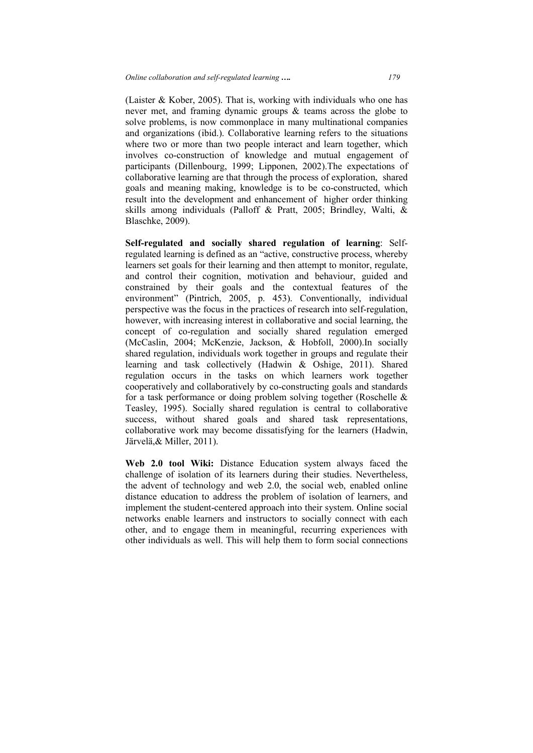(Laister & Kober, 2005). That is, working with individuals who one has never met, and framing dynamic groups & teams across the globe to solve problems, is now commonplace in many multinational companies and organizations (ibid.). Collaborative learning refers to the situations where two or more than two people interact and learn together, which involves co-construction of knowledge and mutual engagement of participants (Dillenbourg, 1999; Lipponen, 2002).The expectations of collaborative learning are that through the process of exploration, shared goals and meaning making, knowledge is to be co-constructed, which result into the development and enhancement of higher order thinking skills among individuals (Palloff & Pratt, 2005; Brindley, Walti, & Blaschke, 2009).

**Self-regulated and socially shared regulation of learning**: Selfregulated learning is defined as an "active, constructive process, whereby learners set goals for their learning and then attempt to monitor, regulate, and control their cognition, motivation and behaviour, guided and constrained by their goals and the contextual features of the environment" (Pintrich, 2005, p. 453). Conventionally, individual perspective was the focus in the practices of research into self-regulation, however, with increasing interest in collaborative and social learning, the concept of co-regulation and socially shared regulation emerged (McCaslin, 2004; McKenzie, Jackson, & Hobfoll, 2000).In socially shared regulation, individuals work together in groups and regulate their learning and task collectively (Hadwin & Oshige, 2011). Shared regulation occurs in the tasks on which learners work together cooperatively and collaboratively by co-constructing goals and standards for a task performance or doing problem solving together (Roschelle & Teasley, 1995). Socially shared regulation is central to collaborative success, without shared goals and shared task representations, collaborative work may become dissatisfying for the learners (Hadwin, Järvelä,& Miller, 2011).

**Web 2.0 tool Wiki:** Distance Education system always faced the challenge of isolation of its learners during their studies. Nevertheless, the advent of technology and web 2.0, the social web, enabled online distance education to address the problem of isolation of learners, and implement the student-centered approach into their system. Online social networks enable learners and instructors to socially connect with each other, and to engage them in meaningful, recurring experiences with other individuals as well. This will help them to form social connections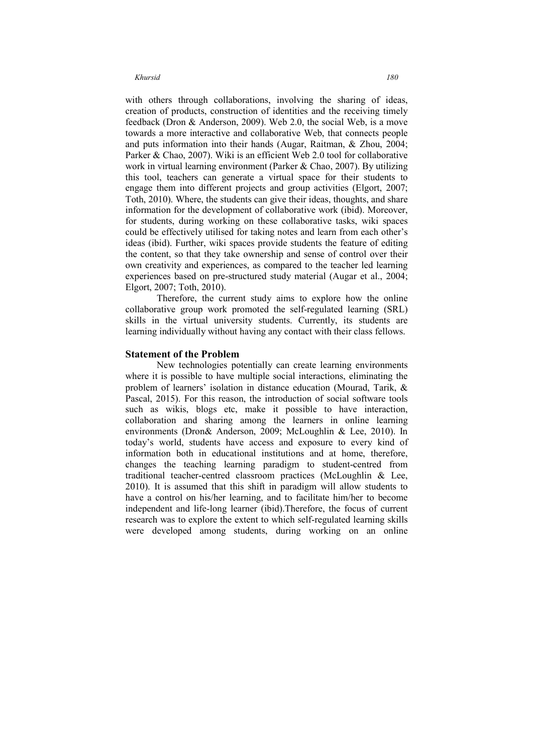with others through collaborations, involving the sharing of ideas, creation of products, construction of identities and the receiving timely feedback (Dron & Anderson, 2009). Web 2.0, the social Web, is a move towards a more interactive and collaborative Web, that connects people and puts information into their hands (Augar, Raitman, & Zhou, 2004; Parker & Chao, 2007). Wiki is an efficient Web 2.0 tool for collaborative work in virtual learning environment (Parker & Chao, 2007). By utilizing this tool, teachers can generate a virtual space for their students to engage them into different projects and group activities (Elgort, 2007; Toth, 2010). Where, the students can give their ideas, thoughts, and share information for the development of collaborative work (ibid). Moreover, for students, during working on these collaborative tasks, wiki spaces could be effectively utilised for taking notes and learn from each other's ideas (ibid). Further, wiki spaces provide students the feature of editing the content, so that they take ownership and sense of control over their own creativity and experiences, as compared to the teacher led learning experiences based on pre-structured study material (Augar et al., 2004; Elgort, 2007; Toth, 2010).

Therefore, the current study aims to explore how the online collaborative group work promoted the self-regulated learning (SRL) skills in the virtual university students. Currently, its students are learning individually without having any contact with their class fellows.

### **Statement of the Problem**

New technologies potentially can create learning environments where it is possible to have multiple social interactions, eliminating the problem of learners' isolation in distance education (Mourad, Tarik, & Pascal, 2015). For this reason, the introduction of social software tools such as wikis, blogs etc, make it possible to have interaction, collaboration and sharing among the learners in online learning environments (Dron& Anderson, 2009; McLoughlin & Lee, 2010). In today's world, students have access and exposure to every kind of information both in educational institutions and at home, therefore, changes the teaching learning paradigm to student-centred from traditional teacher-centred classroom practices (McLoughlin & Lee, 2010). It is assumed that this shift in paradigm will allow students to have a control on his/her learning, and to facilitate him/her to become independent and life-long learner (ibid).Therefore, the focus of current research was to explore the extent to which self-regulated learning skills were developed among students, during working on an online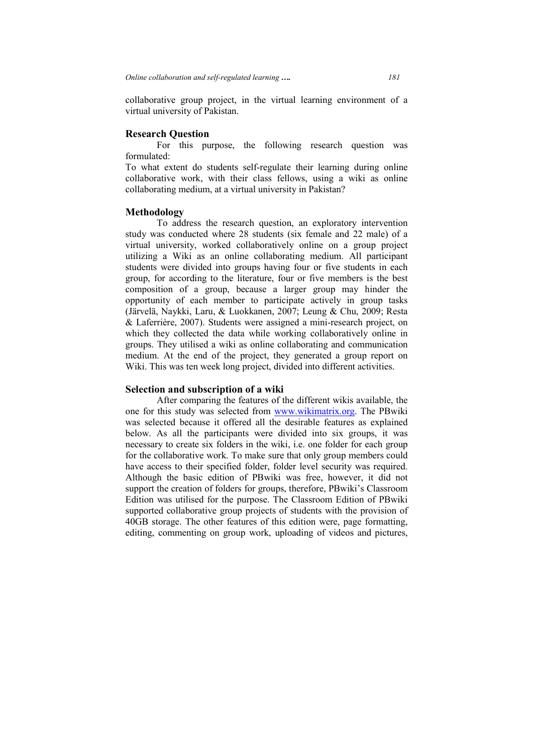collaborative group project, in the virtual learning environment of a virtual university of Pakistan.

# **Research Question**

For this purpose, the following research question was formulated:

To what extent do students self-regulate their learning during online collaborative work, with their class fellows, using a wiki as online collaborating medium, at a virtual university in Pakistan?

# **Methodology**

To address the research question, an exploratory intervention study was conducted where 28 students (six female and 22 male) of a virtual university, worked collaboratively online on a group project utilizing a Wiki as an online collaborating medium. All participant students were divided into groups having four or five students in each group, for according to the literature, four or five members is the best composition of a group, because a larger group may hinder the opportunity of each member to participate actively in group tasks (Järvelä, Naykki, Laru, & Luokkanen, 2007; Leung & Chu, 2009; Resta & Laferrière, 2007). Students were assigned a mini-research project, on which they collected the data while working collaboratively online in groups. They utilised a wiki as online collaborating and communication medium. At the end of the project, they generated a group report on Wiki. This was ten week long project, divided into different activities.

# **Selection and subscription of a wiki**

After comparing the features of the different wikis available, the one for this study was selected from www.wikimatrix.org. The PBwiki was selected because it offered all the desirable features as explained below. As all the participants were divided into six groups, it was necessary to create six folders in the wiki, i.e. one folder for each group for the collaborative work. To make sure that only group members could have access to their specified folder, folder level security was required. Although the basic edition of PBwiki was free, however, it did not support the creation of folders for groups, therefore, PBwiki's Classroom Edition was utilised for the purpose. The Classroom Edition of PBwiki supported collaborative group projects of students with the provision of 40GB storage. The other features of this edition were, page formatting, editing, commenting on group work, uploading of videos and pictures,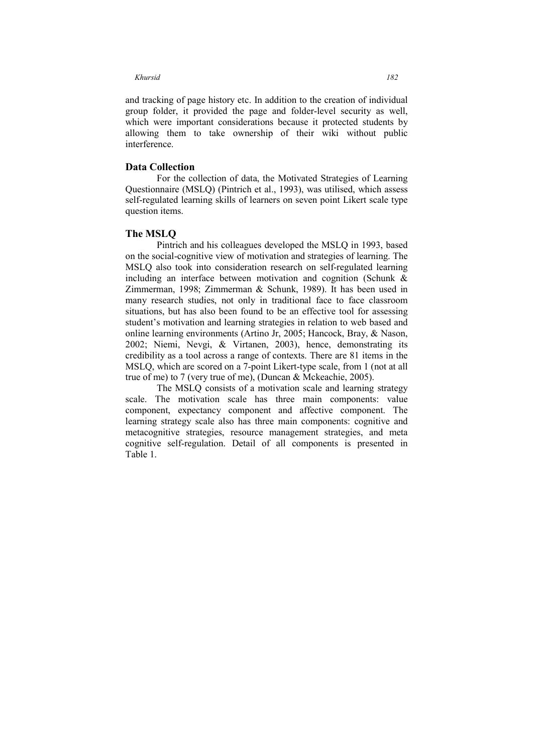and tracking of page history etc. In addition to the creation of individual group folder, it provided the page and folder-level security as well, which were important considerations because it protected students by allowing them to take ownership of their wiki without public interference.

# **Data Collection**

For the collection of data, the Motivated Strategies of Learning Questionnaire (MSLQ) (Pintrich et al., 1993), was utilised, which assess self-regulated learning skills of learners on seven point Likert scale type question items.

# **The MSLQ**

Pintrich and his colleagues developed the MSLQ in 1993, based on the social-cognitive view of motivation and strategies of learning. The MSLQ also took into consideration research on self-regulated learning including an interface between motivation and cognition (Schunk & Zimmerman, 1998; Zimmerman & Schunk, 1989). It has been used in many research studies, not only in traditional face to face classroom situations, but has also been found to be an effective tool for assessing student's motivation and learning strategies in relation to web based and online learning environments (Artino Jr, 2005; Hancock, Bray, & Nason, 2002; Niemi, Nevgi, & Virtanen, 2003), hence, demonstrating its credibility as a tool across a range of contexts. There are 81 items in the MSLQ, which are scored on a 7-point Likert-type scale, from 1 (not at all true of me) to 7 (very true of me), (Duncan & Mckeachie, 2005).

The MSLQ consists of a motivation scale and learning strategy scale. The motivation scale has three main components: value component, expectancy component and affective component. The learning strategy scale also has three main components: cognitive and metacognitive strategies, resource management strategies, and meta cognitive self-regulation. Detail of all components is presented in Table 1.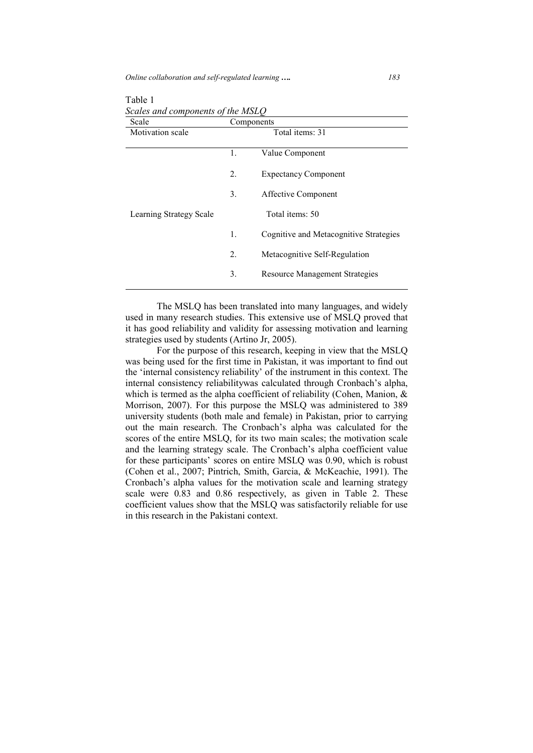*Online collaboration and self-regulated learning …. 183*

| Scale                   | Components |                                        |  |  |  |
|-------------------------|------------|----------------------------------------|--|--|--|
| Motivation scale        |            | Total items: 31                        |  |  |  |
|                         | 1.         | Value Component                        |  |  |  |
|                         | 2.         | <b>Expectancy Component</b>            |  |  |  |
|                         | 3.         | Affective Component                    |  |  |  |
| Learning Strategy Scale |            | Total items: 50                        |  |  |  |
|                         | 1.         | Cognitive and Metacognitive Strategies |  |  |  |
|                         | 2.         | Metacognitive Self-Regulation          |  |  |  |
|                         | 3.         | <b>Resource Management Strategies</b>  |  |  |  |

Table 1 *Scales and components of the MSLQ* 

The MSLQ has been translated into many languages, and widely used in many research studies. This extensive use of MSLQ proved that it has good reliability and validity for assessing motivation and learning strategies used by students (Artino Jr, 2005).

For the purpose of this research, keeping in view that the MSLQ was being used for the first time in Pakistan, it was important to find out the 'internal consistency reliability' of the instrument in this context. The internal consistency reliabilitywas calculated through Cronbach's alpha, which is termed as the alpha coefficient of reliability (Cohen, Manion, & Morrison, 2007). For this purpose the MSLQ was administered to 389 university students (both male and female) in Pakistan, prior to carrying out the main research. The Cronbach's alpha was calculated for the scores of the entire MSLQ, for its two main scales; the motivation scale and the learning strategy scale. The Cronbach's alpha coefficient value for these participants' scores on entire MSLQ was 0.90, which is robust (Cohen et al., 2007; Pintrich, Smith, Garcia, & McKeachie, 1991). The Cronbach's alpha values for the motivation scale and learning strategy scale were 0.83 and 0.86 respectively, as given in Table 2. These coefficient values show that the MSLQ was satisfactorily reliable for use in this research in the Pakistani context.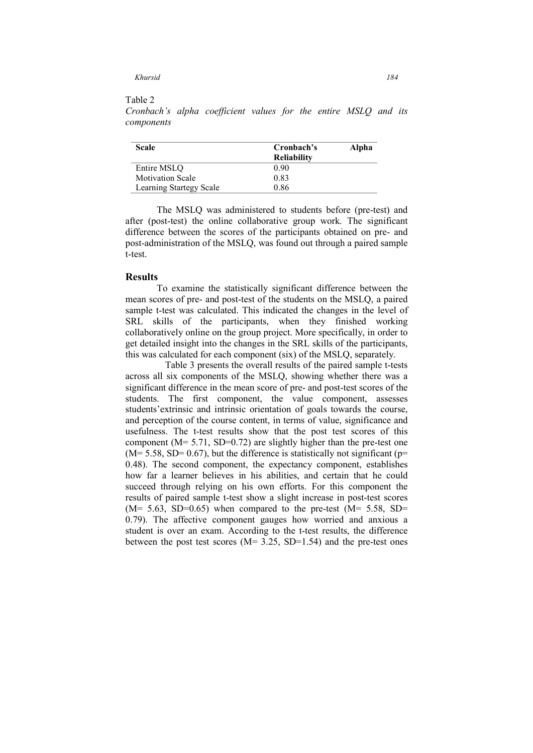### Table 2

*Cronbach's alpha coefficient values for the entire MSLQ and its components* 

| Scale                   | Cronbach's         | Alpha |
|-------------------------|--------------------|-------|
|                         | <b>Reliability</b> |       |
| Entire MSLO             | 0.90               |       |
| <b>Motivation Scale</b> | 0.83               |       |
| Learning Startegy Scale | 0.86               |       |

The MSLQ was administered to students before (pre-test) and after (post-test) the online collaborative group work. The significant difference between the scores of the participants obtained on pre- and post-administration of the MSLQ, was found out through a paired sample t-test.

### **Results**

To examine the statistically significant difference between the mean scores of pre- and post-test of the students on the MSLQ, a paired sample t-test was calculated. This indicated the changes in the level of SRL skills of the participants, when they finished working collaboratively online on the group project. More specifically, in order to get detailed insight into the changes in the SRL skills of the participants, this was calculated for each component (six) of the MSLQ, separately.

 Table 3 presents the overall results of the paired sample t-tests across all six components of the MSLQ, showing whether there was a significant difference in the mean score of pre- and post-test scores of the students. The first component, the value component, assesses students'extrinsic and intrinsic orientation of goals towards the course, and perception of the course content, in terms of value, significance and usefulness. The t-test results show that the post test scores of this component ( $M = 5.71$ , SD=0.72) are slightly higher than the pre-test one  $(M= 5.58, SD= 0.67)$ , but the difference is statistically not significant (p= 0.48). The second component, the expectancy component, establishes how far a learner believes in his abilities, and certain that he could succeed through relying on his own efforts. For this component the results of paired sample t-test show a slight increase in post-test scores  $(M= 5.63, SD=0.65)$  when compared to the pre-test  $(M= 5.58, SD=$ 0.79). The affective component gauges how worried and anxious a student is over an exam. According to the t-test results, the difference between the post test scores ( $M = 3.25$ , SD=1.54) and the pre-test ones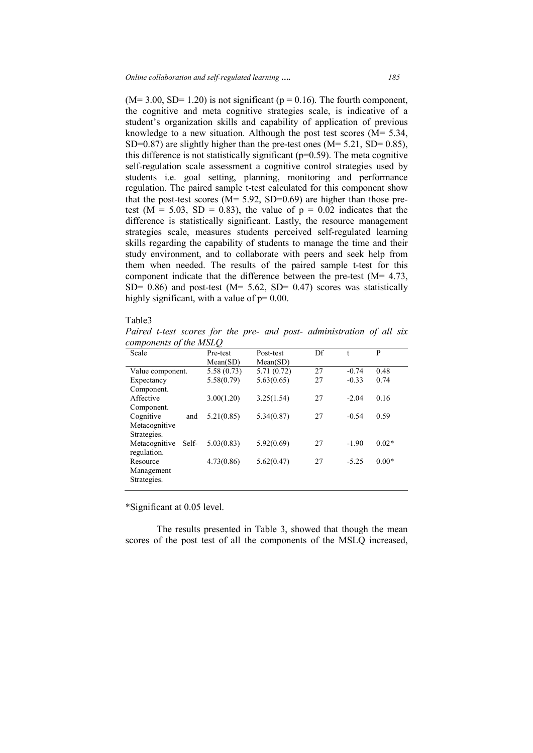$(M= 3.00, SD= 1.20)$  is not significant ( $p = 0.16$ ). The fourth component, the cognitive and meta cognitive strategies scale, is indicative of a student's organization skills and capability of application of previous knowledge to a new situation. Although the post test scores (M= 5.34, SD=0.87) are slightly higher than the pre-test ones ( $M = 5.21$ , SD= 0.85), this difference is not statistically significant ( $p=0.59$ ). The meta cognitive self-regulation scale assessment a cognitive control strategies used by students i.e. goal setting, planning, monitoring and performance regulation. The paired sample t-test calculated for this component show that the post-test scores ( $M = 5.92$ , SD=0.69) are higher than those pretest ( $M = 5.03$ ,  $SD = 0.83$ ), the value of  $p = 0.02$  indicates that the difference is statistically significant. Lastly, the resource management strategies scale, measures students perceived self-regulated learning skills regarding the capability of students to manage the time and their study environment, and to collaborate with peers and seek help from them when needed. The results of the paired sample t-test for this component indicate that the difference between the pre-test (M= 4.73,  $SD= 0.86$ ) and post-test (M= 5.62, SD= 0.47) scores was statistically highly significant, with a value of  $p=0.00$ .

# Table3

*Paired t-test scores for the pre- and post- administration of all six components of the MSLQ* 

| Scale                  | Pre-test   | Post-test  | Df | t       | P       |
|------------------------|------------|------------|----|---------|---------|
|                        | Mean(SD)   | Mean(SD)   |    |         |         |
| Value component.       | 5.58(0.73) | 5.71(0.72) | 27 | $-0.74$ | 0.48    |
| Expectancy             | 5.58(0.79) | 5.63(0.65) | 27 | $-0.33$ | 0.74    |
| Component.             |            |            |    |         |         |
| Affective              | 3.00(1.20) | 3.25(1.54) | 27 | $-2.04$ | 0.16    |
| Component.             |            |            |    |         |         |
| Cognitive<br>and       | 5.21(0.85) | 5.34(0.87) | 27 | $-0.54$ | 0.59    |
| Metacognitive          |            |            |    |         |         |
| Strategies.            |            |            |    |         |         |
| Metacognitive<br>Self- | 5.03(0.83) | 5.92(0.69) | 27 | $-1.90$ | $0.02*$ |
| regulation.            |            |            |    |         |         |
| Resource               | 4.73(0.86) | 5.62(0.47) | 27 | $-5.25$ | $0.00*$ |
| Management             |            |            |    |         |         |
| Strategies.            |            |            |    |         |         |
|                        |            |            |    |         |         |

\*Significant at 0.05 level.

The results presented in Table 3, showed that though the mean scores of the post test of all the components of the MSLQ increased,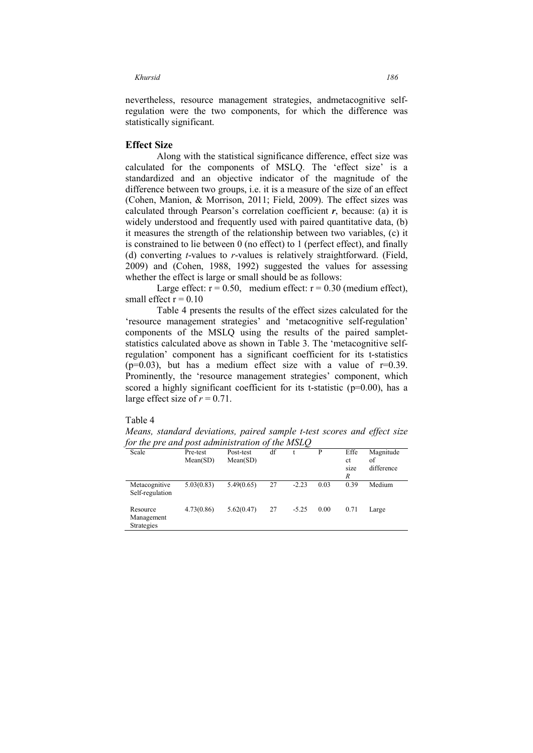nevertheless, resource management strategies, andmetacognitive selfregulation were the two components, for which the difference was statistically significant.

# **Effect Size**

Along with the statistical significance difference, effect size was calculated for the components of MSLQ. The 'effect size' is a standardized and an objective indicator of the magnitude of the difference between two groups, i.e. it is a measure of the size of an effect (Cohen, Manion, & Morrison, 2011; Field, 2009). The effect sizes was calculated through Pearson's correlation coefficient  $r$ , because: (a) it is widely understood and frequently used with paired quantitative data, (b) it measures the strength of the relationship between two variables, (c) it is constrained to lie between 0 (no effect) to 1 (perfect effect), and finally (d) converting *t*-values to *r*-values is relatively straightforward. (Field, 2009) and (Cohen, 1988, 1992) suggested the values for assessing whether the effect is large or small should be as follows:

Large effect:  $r = 0.50$ , medium effect:  $r = 0.30$  (medium effect), small effect  $r = 0.10$ 

Table 4 presents the results of the effect sizes calculated for the 'resource management strategies' and 'metacognitive self-regulation' components of the MSLQ using the results of the paired sampletstatistics calculated above as shown in Table 3. The 'metacognitive selfregulation' component has a significant coefficient for its t-statistics  $(p=0.03)$ , but has a medium effect size with a value of  $r=0.39$ . Prominently, the 'resource management strategies' component, which scored a highly significant coefficient for its t-statistic  $(p=0.00)$ , has a large effect size of  $r = 0.71$ .

# Table 4

*Means, standard deviations, paired sample t-test scores and effect size for the pre and post administration of the MSLQ* 

| Scale                                | Pre-test<br>Mean(SD) | Post-test<br>Mean(SD) | df |         | P    | Effe<br>ct<br>size<br>R | Magnitude<br>οf<br>difference |
|--------------------------------------|----------------------|-----------------------|----|---------|------|-------------------------|-------------------------------|
| Metacognitive<br>Self-regulation     | 5.03(0.83)           | 5.49(0.65)            | 27 | $-2.23$ | 0.03 | 0.39                    | Medium                        |
| Resource<br>Management<br>Strategies | 4.73(0.86)           | 5.62(0.47)            | 27 | $-5.25$ | 0.00 | 0.71                    | Large                         |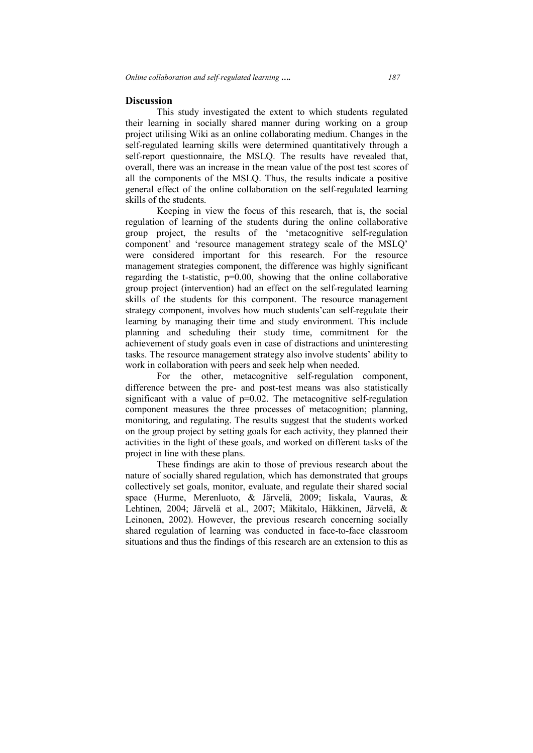### **Discussion**

This study investigated the extent to which students regulated their learning in socially shared manner during working on a group project utilising Wiki as an online collaborating medium. Changes in the self-regulated learning skills were determined quantitatively through a self-report questionnaire, the MSLQ. The results have revealed that, overall, there was an increase in the mean value of the post test scores of all the components of the MSLQ. Thus, the results indicate a positive general effect of the online collaboration on the self-regulated learning skills of the students.

Keeping in view the focus of this research, that is, the social regulation of learning of the students during the online collaborative group project, the results of the 'metacognitive self-regulation component' and 'resource management strategy scale of the MSLQ' were considered important for this research. For the resource management strategies component, the difference was highly significant regarding the t-statistic, p=0.00, showing that the online collaborative group project (intervention) had an effect on the self-regulated learning skills of the students for this component. The resource management strategy component, involves how much students'can self-regulate their learning by managing their time and study environment. This include planning and scheduling their study time, commitment for the achievement of study goals even in case of distractions and uninteresting tasks. The resource management strategy also involve students' ability to work in collaboration with peers and seek help when needed.

For the other, metacognitive self-regulation component, difference between the pre- and post-test means was also statistically significant with a value of  $p=0.02$ . The metacognitive self-regulation component measures the three processes of metacognition; planning, monitoring, and regulating. The results suggest that the students worked on the group project by setting goals for each activity, they planned their activities in the light of these goals, and worked on different tasks of the project in line with these plans.

These findings are akin to those of previous research about the nature of socially shared regulation, which has demonstrated that groups collectively set goals, monitor, evaluate, and regulate their shared social space (Hurme, Merenluoto, & Järvelä, 2009; Iiskala, Vauras, & Lehtinen, 2004; Järvelä et al., 2007; Mäkitalo, Häkkinen, Järvelä, & Leinonen, 2002). However, the previous research concerning socially shared regulation of learning was conducted in face-to-face classroom situations and thus the findings of this research are an extension to this as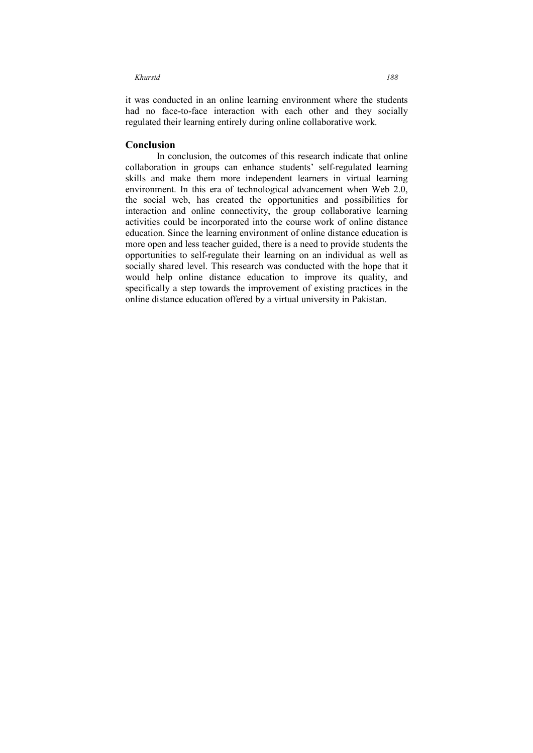it was conducted in an online learning environment where the students had no face-to-face interaction with each other and they socially regulated their learning entirely during online collaborative work.

### **Conclusion**

In conclusion, the outcomes of this research indicate that online collaboration in groups can enhance students' self-regulated learning skills and make them more independent learners in virtual learning environment. In this era of technological advancement when Web 2.0, the social web, has created the opportunities and possibilities for interaction and online connectivity, the group collaborative learning activities could be incorporated into the course work of online distance education. Since the learning environment of online distance education is more open and less teacher guided, there is a need to provide students the opportunities to self-regulate their learning on an individual as well as socially shared level. This research was conducted with the hope that it would help online distance education to improve its quality, and specifically a step towards the improvement of existing practices in the online distance education offered by a virtual university in Pakistan.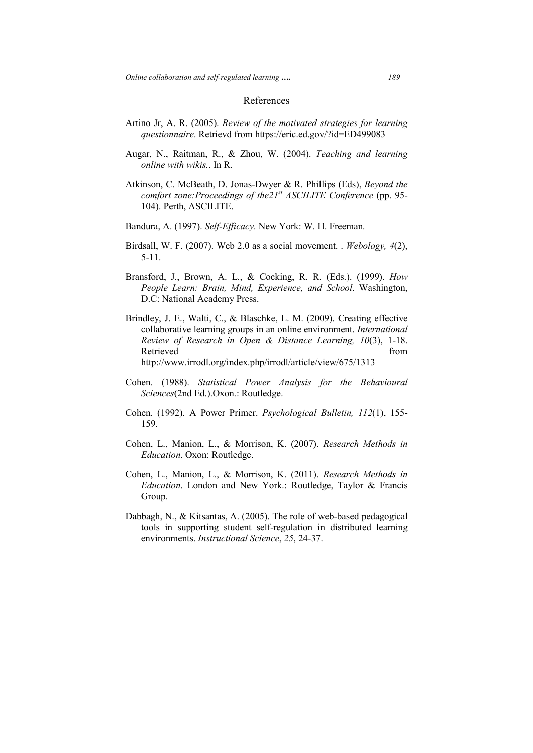# References

- Artino Jr, A. R. (2005). *Review of the motivated strategies for learning questionnaire*. Retrievd from https://eric.ed.gov/?id=ED499083
- Augar, N., Raitman, R., & Zhou, W. (2004). *Teaching and learning online with wikis.*. In R.
- Atkinson, C. McBeath, D. Jonas-Dwyer & R. Phillips (Eds), *Beyond the comfort zone:Proceedings of the21st ASCILITE Conference* (pp. 95- 104). Perth, ASCILITE.
- Bandura, A. (1997). *Self-Efficacy*. New York: W. H. Freeman.
- Birdsall, W. F. (2007). Web 2.0 as a social movement. . *Webology, 4*(2), 5-11.
- Bransford, J., Brown, A. L., & Cocking, R. R. (Eds.). (1999). *How People Learn: Brain, Mind, Experience, and School*. Washington, D.C: National Academy Press.
- Brindley, J. E., Walti, C., & Blaschke, L. M. (2009). Creating effective collaborative learning groups in an online environment. *International Review of Research in Open & Distance Learning, 10*(3), 1-18. Retrieved from  $\blacksquare$ http://www.irrodl.org/index.php/irrodl/article/view/675/1313
- Cohen. (1988). *Statistical Power Analysis for the Behavioural Sciences*(2nd Ed.).Oxon.: Routledge.
- Cohen. (1992). A Power Primer. *Psychological Bulletin, 112*(1), 155- 159.
- Cohen, L., Manion, L., & Morrison, K. (2007). *Research Methods in Education*. Oxon: Routledge.
- Cohen, L., Manion, L., & Morrison, K. (2011). *Research Methods in Education*. London and New York.: Routledge, Taylor & Francis Group.
- Dabbagh, N., & Kitsantas, A. (2005). The role of web-based pedagogical tools in supporting student self-regulation in distributed learning environments. *Instructional Science*, *25*, 24-37.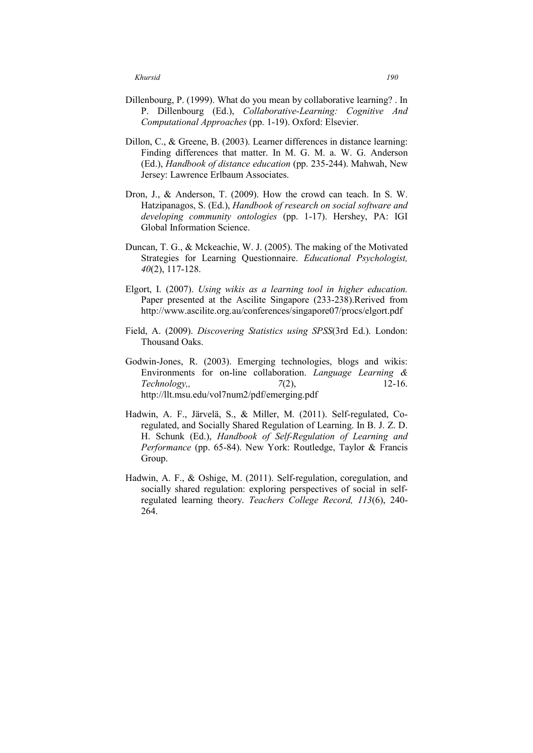- Dillenbourg, P. (1999). What do you mean by collaborative learning? . In P. Dillenbourg (Ed.), *Collaborative-Learning: Cognitive And Computational Approaches* (pp. 1-19). Oxford: Elsevier.
- Dillon, C., & Greene, B. (2003). Learner differences in distance learning: Finding differences that matter. In M. G. M. a. W. G. Anderson (Ed.), *Handbook of distance education* (pp. 235-244). Mahwah, New Jersey: Lawrence Erlbaum Associates.
- Dron, J., & Anderson, T. (2009). How the crowd can teach. In S. W. Hatzipanagos, S. (Ed.), *Handbook of research on social software and developing community ontologies* (pp. 1-17). Hershey, PA: IGI Global Information Science.
- Duncan, T. G., & Mckeachie, W. J. (2005). The making of the Motivated Strategies for Learning Questionnaire. *Educational Psychologist, 40*(2), 117-128.
- Elgort, I. (2007). *Using wikis as a learning tool in higher education.* Paper presented at the Ascilite Singapore (233-238).Rerived from http://www.ascilite.org.au/conferences/singapore07/procs/elgort.pdf
- Field, A. (2009). *Discovering Statistics using SPSS*(3rd Ed.). London: Thousand Oaks.
- Godwin-Jones, R. (2003). Emerging technologies, blogs and wikis: Environments for on-line collaboration. *Language Learning & Technology,, 7*(2), 12-16. http://llt.msu.edu/vol7num2/pdf/emerging.pdf
- Hadwin, A. F., Järvelä, S., & Miller, M. (2011). Self-regulated, Coregulated, and Socially Shared Regulation of Learning. In B. J. Z. D. H. Schunk (Ed.), *Handbook of Self-Regulation of Learning and Performance* (pp. 65-84). New York: Routledge, Taylor & Francis Group.
- Hadwin, A. F., & Oshige, M. (2011). Self-regulation, coregulation, and socially shared regulation: exploring perspectives of social in selfregulated learning theory. *Teachers College Record, 113*(6), 240- 264.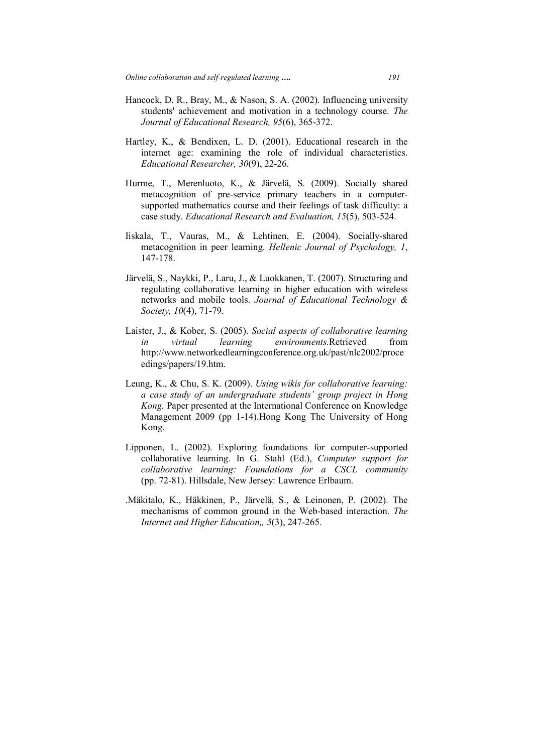- Hancock, D. R., Bray, M., & Nason, S. A. (2002). Influencing university students' achievement and motivation in a technology course. *The Journal of Educational Research, 95*(6), 365-372.
- Hartley, K., & Bendixen, L. D. (2001). Educational research in the internet age: examining the role of individual characteristics. *Educational Researcher, 30*(9), 22-26.
- Hurme, T., Merenluoto, K., & Järvelä, S. (2009). Socially shared metacognition of pre-service primary teachers in a computersupported mathematics course and their feelings of task difficulty: a case study. *Educational Research and Evaluation, 15*(5), 503-524.
- Iiskala, T., Vauras, M., & Lehtinen, E. (2004). Socially-shared metacognition in peer learning. *Hellenic Journal of Psychology, 1*, 147-178.
- Järvelä, S., Naykki, P., Laru, J., & Luokkanen, T. (2007). Structuring and regulating collaborative learning in higher education with wireless networks and mobile tools. *Journal of Educational Technology & Society, 10*(4), 71-79.
- Laister, J., & Kober, S. (2005). *Social aspects of collaborative learning in virtual learning environments.*Retrieved from http://www.networkedlearningconference.org.uk/past/nlc2002/proce edings/papers/19.htm.
- Leung, K., & Chu, S. K. (2009). *Using wikis for collaborative learning: a case study of an undergraduate students' group project in Hong Kong.* Paper presented at the International Conference on Knowledge Management 2009 (pp 1-14).Hong Kong The University of Hong Kong.
- Lipponen, L. (2002). Exploring foundations for computer-supported collaborative learning. In G. Stahl (Ed.), *Computer support for collaborative learning: Foundations for a CSCL community*  (pp. 72-81). Hillsdale, New Jersey: Lawrence Erlbaum.
- .Mäkitalo, K., Häkkinen, P., Järvelä, S., & Leinonen, P. (2002). The mechanisms of common ground in the Web-based interaction. *The Internet and Higher Education,, 5*(3), 247-265.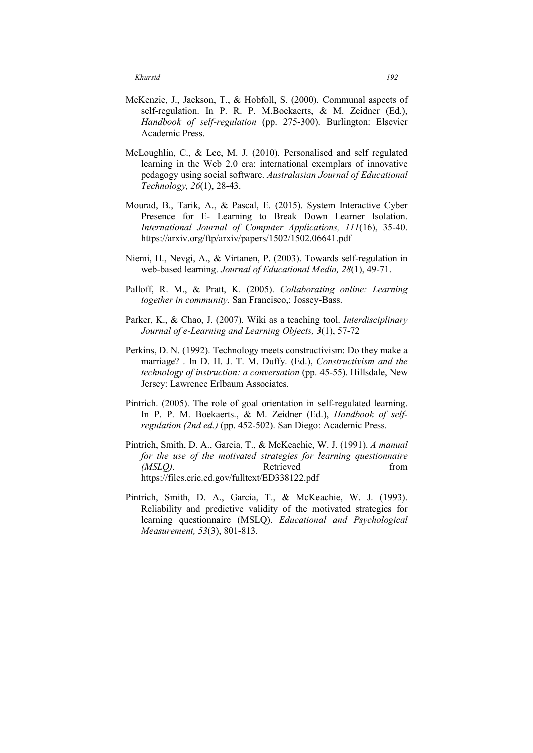- McKenzie, J., Jackson, T., & Hobfoll, S. (2000). Communal aspects of self-regulation. In P. R. P. M.Boekaerts, & M. Zeidner (Ed.), *Handbook of self-regulation* (pp. 275-300). Burlington: Elsevier Academic Press.
- McLoughlin, C., & Lee, M. J. (2010). Personalised and self regulated learning in the Web 2.0 era: international exemplars of innovative pedagogy using social software. *Australasian Journal of Educational Technology, 26*(1), 28-43.
- Mourad, B., Tarik, A., & Pascal, E. (2015). System Interactive Cyber Presence for E- Learning to Break Down Learner Isolation. *International Journal of Computer Applications, 111*(16), 35-40. https://arxiv.org/ftp/arxiv/papers/1502/1502.06641.pdf
- Niemi, H., Nevgi, A., & Virtanen, P. (2003). Towards self-regulation in web-based learning. *Journal of Educational Media, 28*(1), 49-71.
- Palloff, R. M., & Pratt, K. (2005). *Collaborating online: Learning together in community.* San Francisco,: Jossey-Bass.
- Parker, K., & Chao, J. (2007). Wiki as a teaching tool. *Interdisciplinary Journal of e-Learning and Learning Objects, 3*(1), 57-72
- Perkins, D. N. (1992). Technology meets constructivism: Do they make a marriage? . In D. H. J. T. M. Duffy. (Ed.), *Constructivism and the technology of instruction: a conversation* (pp. 45-55). Hillsdale, New Jersey: Lawrence Erlbaum Associates.
- Pintrich. (2005). The role of goal orientation in self-regulated learning. In P. P. M. Boekaerts., & M. Zeidner (Ed.), *Handbook of selfregulation (2nd ed.)* (pp. 452-502). San Diego: Academic Press.
- Pintrich, Smith, D. A., Garcia, T., & McKeachie, W. J. (1991). *A manual for the use of the motivated strategies for learning questionnaire (MSLO)*. Retrieved from https://files.eric.ed.gov/fulltext/ED338122.pdf
- Pintrich, Smith, D. A., Garcia, T., & McKeachie, W. J. (1993). Reliability and predictive validity of the motivated strategies for learning questionnaire (MSLQ). *Educational and Psychological Measurement, 53*(3), 801-813.